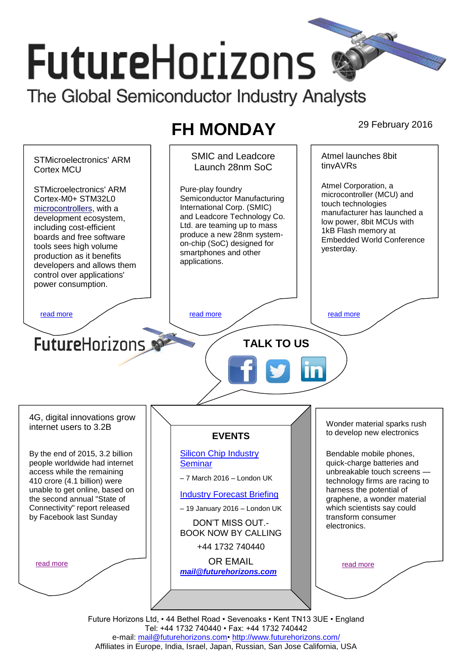# **FutureHorizons** The Global Semiconductor Industry Analysts

# **FH MONDAY** 29 February 2016

SMIC and Leadcore Atmel launches 8bit STMicroelectronics' ARM tinyAVRs Launch 28nm SoC Cortex MCU Atmel Corporation, a STMicroelectronics' ARM Pure-play foundry microcontroller (MCU) and Semiconductor Manufacturing Cortex-M0+ STM32L0 touch technologies International Corp. (SMIC) [microcontrollers,](http://www.eetindia.co.in/SEARCH/ART/microcontrollers.HTM) with a manufacturer has launched a and Leadcore Technology Co. development ecosystem, low power, 8bit MCUs with Ltd. are teaming up to mass including cost-efficient 1kB Flash memory at produce a new 28nm systemboards and free software Embedded World Conference on-chip (SoC) designed for tools sees high volume yesterday. smartphones and other production as it benefits applications. developers and allows them control over applications' power consumption. [read more](#page-1-1) that the read more that the read more that the read more that the read more that the read more that the read more that the read more that the read more that is no the read more that the read more that is no the r **Future**Horizons **TALK TO US** 4G, digital innovations grow Wonder material sparks rush internet users to 3.2B to develop new electronics **EVENTS** By the end of 2015, 3.2 billion [Silicon Chip Industry](http://www.futurehorizons.com/page/12/silicon-chip-training)  Bendable mobile phones, people worldwide had internet **[Seminar](http://www.futurehorizons.com/page/12/silicon-chip-training)** quick-charge batteries and access while the remaining unbreakable touch screens — – 7 March 2016 – London UK 410 crore (4.1 billion) were technology firms are racing to unable to get online, based on harness the potential of [Industry Forecast Briefing](http://www.futurehorizons.com/page/13/Semiconductor-Market-Forecast-Seminar) the second annual "State of graphene, a wonder material Connectivity" report released which scientists say could – 19 January 2016 – London UK by Facebook last Sundaytransform consumer DON'T MISS OUT. electronics. BOOK NOW BY CALLING +44 1732 740440 OR EMAIL [read more](#page-1-1) [read more](#page-1-3) *[mail@futurehorizons.com](mailto:mail@futurehorizons.com)*

Future Horizons Ltd, • 44 Bethel Road • Sevenoaks • Kent TN13 3UE • England Tel: +44 1732 740440 • Fax: +44 1732 740442 e-mail: mail@futurehorizons.com• http://www.futurehorizons.com/ Affiliates in Europe, India, Israel, Japan, Russian, San Jose California, USA